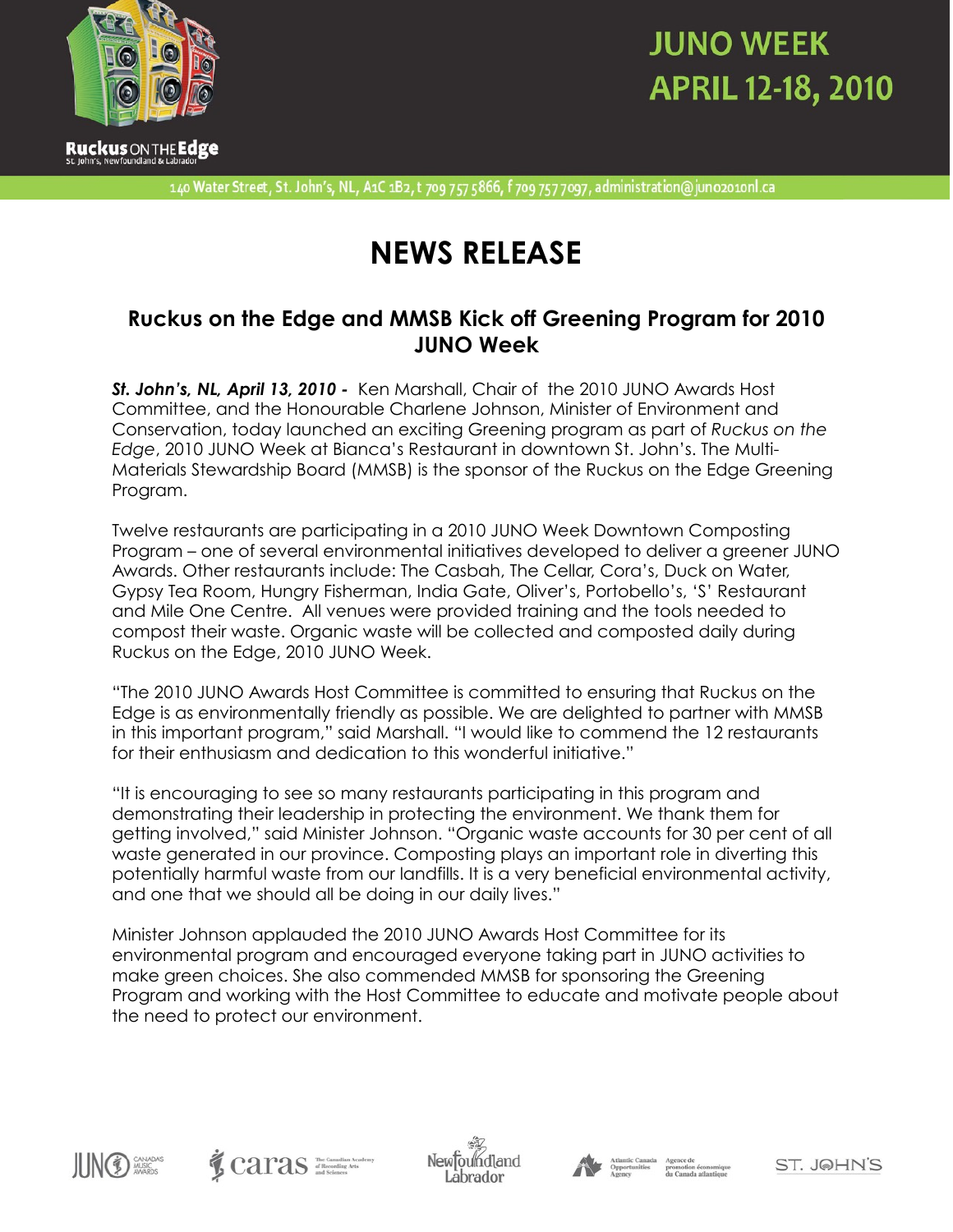

# **JUNO WEEK APRIL 12-18, 2010**

140 Water Street, St. John's, NL, A1C 1B2, t 709 757 5866, f 709 757 7097, administration@juno2010nl.ca

### **NEWS RELEASE**

### **Ruckus on the Edge and MMSB Kick off Greening Program for 2010 JUNO Week**

*St. John's, NL, April 13, 2010 -* Ken Marshall, Chair of the 2010 JUNO Awards Host Committee, and the Honourable Charlene Johnson, Minister of Environment and Conservation, today launched an exciting Greening program as part of *Ruckus on the Edge*, 2010 JUNO Week at Bianca's Restaurant in downtown St. John's. The Multi-Materials Stewardship Board (MMSB) is the sponsor of the Ruckus on the Edge Greening Program.

Twelve restaurants are participating in a 2010 JUNO Week Downtown Composting Program – one of several environmental initiatives developed to deliver a greener JUNO Awards. Other restaurants include: The Casbah, The Cellar, Cora's, Duck on Water, Gypsy Tea Room, Hungry Fisherman, India Gate, Oliver's, Portobello's, 'S' Restaurant and Mile One Centre. All venues were provided training and the tools needed to compost their waste. Organic waste will be collected and composted daily during Ruckus on the Edge, 2010 JUNO Week.

"The 2010 JUNO Awards Host Committee is committed to ensuring that Ruckus on the Edge is as environmentally friendly as possible. We are delighted to partner with MMSB in this important program," said Marshall. "I would like to commend the 12 restaurants for their enthusiasm and dedication to this wonderful initiative."

"It is encouraging to see so many restaurants participating in this program and demonstrating their leadership in protecting the environment. We thank them for getting involved," said Minister Johnson. "Organic waste accounts for 30 per cent of all waste generated in our province. Composting plays an important role in diverting this potentially harmful waste from our landfills. It is a very beneficial environmental activity, and one that we should all be doing in our daily lives."

Minister Johnson applauded the 2010 JUNO Awards Host Committee for its environmental program and encouraged everyone taking part in JUNO activities to make green choices. She also commended MMSB for sponsoring the Greening Program and working with the Host Committee to educate and motivate people about the need to protect our environment.